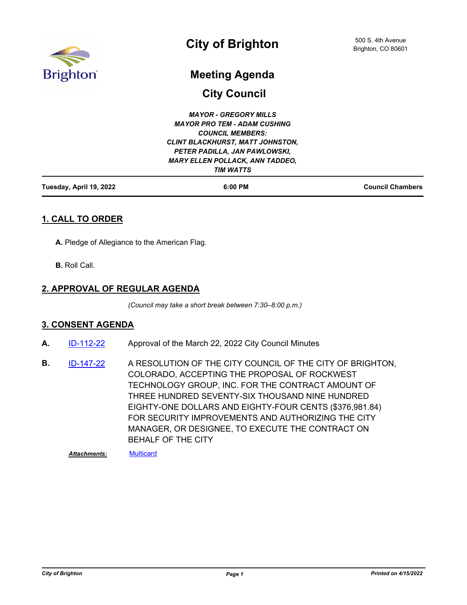

# **City of Brighton**

# **Meeting Agenda**

**City Council**

| $6:00$ PM                               | <b>Council Chambers</b> |
|-----------------------------------------|-------------------------|
| <b>TIM WATTS</b>                        |                         |
| <b>MARY ELLEN POLLACK, ANN TADDEO,</b>  |                         |
| PETER PADILLA, JAN PAWLOWSKI,           |                         |
| <b>CLINT BLACKHURST, MATT JOHNSTON,</b> |                         |
| <b>COUNCIL MEMBERS:</b>                 |                         |
| <b>MAYOR PRO TEM - ADAM CUSHING</b>     |                         |
| <b>MAYOR - GREGORY MILLS</b>            |                         |
|                                         |                         |

# **1. CALL TO ORDER**

**A.** Pledge of Allegiance to the American Flag.

**B.** Roll Call.

#### **2. APPROVAL OF REGULAR AGENDA**

*(Council may take a short break between 7:30–8:00 p.m.)*

#### **3. CONSENT AGENDA**

- **A.** [ID-112-22](http://brightonco.legistar.com/gateway.aspx?m=l&id=/matter.aspx?key=4751) Approval of the March 22, 2022 City Council Minutes
- A RESOLUTION OF THE CITY COUNCIL OF THE CITY OF BRIGHTON, COLORADO, ACCEPTING THE PROPOSAL OF ROCKWEST TECHNOLOGY GROUP, INC. FOR THE CONTRACT AMOUNT OF THREE HUNDRED SEVENTY-SIX THOUSAND NINE HUNDRED EIGHTY-ONE DOLLARS AND EIGHTY-FOUR CENTS (\$376,981.84) FOR SECURITY IMPROVEMENTS AND AUTHORIZING THE CITY MANAGER, OR DESIGNEE, TO EXECUTE THE CONTRACT ON BEHALF OF THE CITY **B.** [ID-147-22](http://brightonco.legistar.com/gateway.aspx?m=l&id=/matter.aspx?key=4786)

*Attachments:* [Multicard](http://brightonco.legistar.com/gateway.aspx?M=F&ID=3d2f92d4-6aea-430c-b230-11df63caea72.docx)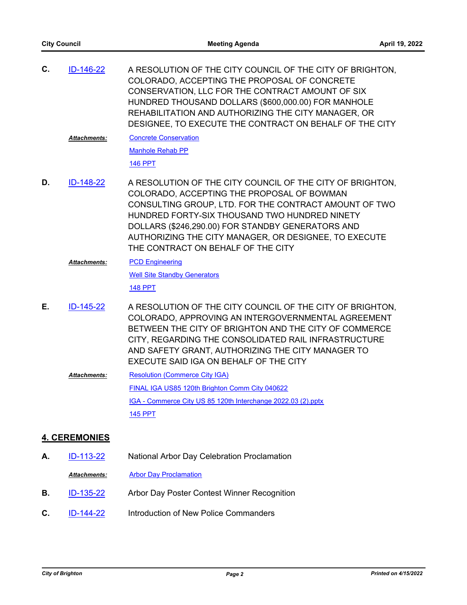| С.                   | ID-146-22           | A RESOLUTION OF THE CITY COUNCIL OF THE CITY OF BRIGHTON,<br>COLORADO, ACCEPTING THE PROPOSAL OF CONCRETE<br>CONSERVATION, LLC FOR THE CONTRACT AMOUNT OF SIX<br>HUNDRED THOUSAND DOLLARS (\$600,000.00) FOR MANHOLE<br>REHABILITATION AND AUTHORIZING THE CITY MANAGER, OR<br>DESIGNEE, TO EXECUTE THE CONTRACT ON BEHALF OF THE CITY                                |
|----------------------|---------------------|-----------------------------------------------------------------------------------------------------------------------------------------------------------------------------------------------------------------------------------------------------------------------------------------------------------------------------------------------------------------------|
|                      | Attachments:        | <b>Concrete Conservation</b>                                                                                                                                                                                                                                                                                                                                          |
|                      |                     | <b>Manhole Rehab PP</b>                                                                                                                                                                                                                                                                                                                                               |
|                      |                     | <b>146 PPT</b>                                                                                                                                                                                                                                                                                                                                                        |
| D.                   | ID-148-22           | A RESOLUTION OF THE CITY COUNCIL OF THE CITY OF BRIGHTON,<br>COLORADO, ACCEPTING THE PROPOSAL OF BOWMAN<br>CONSULTING GROUP, LTD. FOR THE CONTRACT AMOUNT OF TWO<br>HUNDRED FORTY-SIX THOUSAND TWO HUNDRED NINETY<br>DOLLARS (\$246,290.00) FOR STANDBY GENERATORS AND<br>AUTHORIZING THE CITY MANAGER, OR DESIGNEE, TO EXECUTE<br>THE CONTRACT ON BEHALF OF THE CITY |
|                      | <b>Attachments:</b> | <b>PCD Engineering</b>                                                                                                                                                                                                                                                                                                                                                |
|                      |                     | <b>Well Site Standby Generators</b>                                                                                                                                                                                                                                                                                                                                   |
|                      |                     | <b>148 PPT</b>                                                                                                                                                                                                                                                                                                                                                        |
| Е.                   | ID-145-22           | A RESOLUTION OF THE CITY COUNCIL OF THE CITY OF BRIGHTON,<br>COLORADO, APPROVING AN INTERGOVERNMENTAL AGREEMENT<br>BETWEEN THE CITY OF BRIGHTON AND THE CITY OF COMMERCE<br>CITY, REGARDING THE CONSOLIDATED RAIL INFRASTRUCTURE<br>AND SAFETY GRANT, AUTHORIZING THE CITY MANAGER TO<br>EXECUTE SAID IGA ON BEHALF OF THE CITY                                       |
|                      | <b>Attachments:</b> | <b>Resolution (Commerce City IGA)</b>                                                                                                                                                                                                                                                                                                                                 |
|                      |                     | FINAL IGA US85 120th Brighton Comm City 040622                                                                                                                                                                                                                                                                                                                        |
|                      |                     | IGA - Commerce City US 85 120th Interchange 2022.03 (2).pptx                                                                                                                                                                                                                                                                                                          |
|                      |                     | <b>145 PPT</b>                                                                                                                                                                                                                                                                                                                                                        |
| <b>4. CEREMONIES</b> |                     |                                                                                                                                                                                                                                                                                                                                                                       |

- **A.** [ID-113-22](http://brightonco.legistar.com/gateway.aspx?m=l&id=/matter.aspx?key=4752) National Arbor Day Celebration Proclamation
	- *Attachments:* [Arbor Day Proclamation](http://brightonco.legistar.com/gateway.aspx?M=F&ID=5c5ff4bc-c187-42b3-8b58-4af1b782a372.pdf)
- **B.** [ID-135-22](http://brightonco.legistar.com/gateway.aspx?m=l&id=/matter.aspx?key=4774) Arbor Day Poster Contest Winner Recognition
- **C.** [ID-144-22](http://brightonco.legistar.com/gateway.aspx?m=l&id=/matter.aspx?key=4783) Introduction of New Police Commanders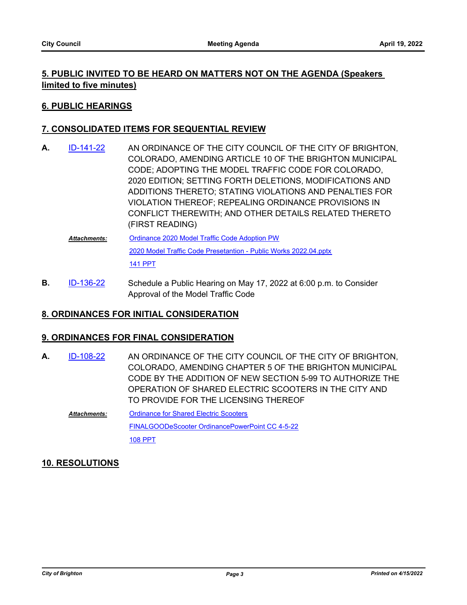# **5. PUBLIC INVITED TO BE HEARD ON MATTERS NOT ON THE AGENDA (Speakers limited to five minutes)**

#### **6. PUBLIC HEARINGS**

# **7. CONSOLIDATED ITEMS FOR SEQUENTIAL REVIEW**

- AN ORDINANCE OF THE CITY COUNCIL OF THE CITY OF BRIGHTON, COLORADO, AMENDING ARTICLE 10 OF THE BRIGHTON MUNICIPAL CODE; ADOPTING THE MODEL TRAFFIC CODE FOR COLORADO, 2020 EDITION; SETTING FORTH DELETIONS, MODIFICATIONS AND ADDITIONS THERETO; STATING VIOLATIONS AND PENALTIES FOR VIOLATION THEREOF; REPEALING ORDINANCE PROVISIONS IN CONFLICT THEREWITH; AND OTHER DETAILS RELATED THERETO (FIRST READING) **A.** [ID-141-22](http://brightonco.legistar.com/gateway.aspx?m=l&id=/matter.aspx?key=4780)
	- [Ordinance 2020 Model Traffic Code Adoption PW](http://brightonco.legistar.com/gateway.aspx?M=F&ID=e5882afa-0fa6-41b6-a28a-bc13d8c23a24.docx) [2020 Model Traffic Code Presetantion - Public Works 2022.04.pptx](http://brightonco.legistar.com/gateway.aspx?M=F&ID=e528edbd-c840-4d56-b9bd-1efeed4f32b6.pptx) [141 PPT](http://brightonco.legistar.com/gateway.aspx?M=F&ID=eb37fb46-a32d-4d44-b330-a5302c1ef99c.pdf) *Attachments:*
- Schedule a Public Hearing on May 17, 2022 at 6:00 p.m. to Consider Approval of the Model Traffic Code **B.** [ID-136-22](http://brightonco.legistar.com/gateway.aspx?m=l&id=/matter.aspx?key=4775)

#### **8. ORDINANCES FOR INITIAL CONSIDERATION**

#### **9. ORDINANCES FOR FINAL CONSIDERATION**

- AN ORDINANCE OF THE CITY COUNCIL OF THE CITY OF BRIGHTON, COLORADO, AMENDING CHAPTER 5 OF THE BRIGHTON MUNICIPAL CODE BY THE ADDITION OF NEW SECTION 5-99 TO AUTHORIZE THE OPERATION OF SHARED ELECTRIC SCOOTERS IN THE CITY AND TO PROVIDE FOR THE LICENSING THEREOF **A.** [ID-108-22](http://brightonco.legistar.com/gateway.aspx?m=l&id=/matter.aspx?key=4747)
	- [Ordinance for Shared Electric Scooters](http://brightonco.legistar.com/gateway.aspx?M=F&ID=0b2c4e35-2591-4315-a636-8b460e0158f3.docx) [FINALGOODeScooter OrdinancePowerPoint CC 4-5-22](http://brightonco.legistar.com/gateway.aspx?M=F&ID=4e0140ca-5778-402d-ace5-f7fa87a82d66.pptx) [108 PPT](http://brightonco.legistar.com/gateway.aspx?M=F&ID=0d077809-231d-4d86-9fdb-f49e563f3ce6.pdf) *Attachments:*

#### **10. RESOLUTIONS**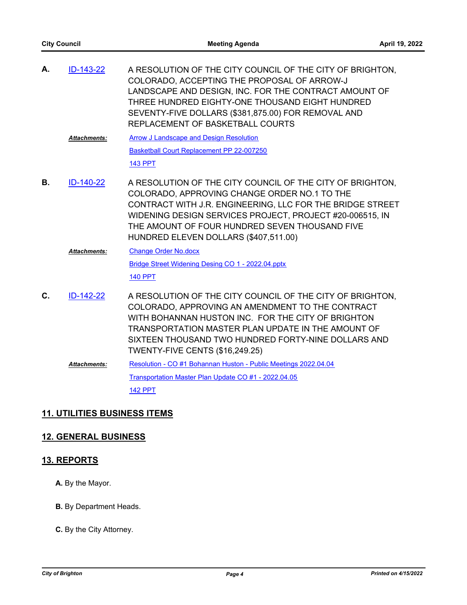| А. | ID-143-22           | A RESOLUTION OF THE CITY COUNCIL OF THE CITY OF BRIGHTON.<br>COLORADO, ACCEPTING THE PROPOSAL OF ARROW-J<br>LANDSCAPE AND DESIGN, INC. FOR THE CONTRACT AMOUNT OF<br>THREE HUNDRED EIGHTY-ONE THOUSAND EIGHT HUNDRED<br>SEVENTY-FIVE DOLLARS (\$381,875.00) FOR REMOVAL AND<br>REPLACEMENT OF BASKETBALL COURTS               |
|----|---------------------|-------------------------------------------------------------------------------------------------------------------------------------------------------------------------------------------------------------------------------------------------------------------------------------------------------------------------------|
|    | <b>Attachments:</b> | <b>Arrow J Landscape and Design Resolution</b>                                                                                                                                                                                                                                                                                |
|    |                     | Basketball Court Replacement PP 22-007250                                                                                                                                                                                                                                                                                     |
|    |                     | <b>143 PPT</b>                                                                                                                                                                                                                                                                                                                |
| В. | ID-140-22           | A RESOLUTION OF THE CITY COUNCIL OF THE CITY OF BRIGHTON.<br>COLORADO, APPROVING CHANGE ORDER NO.1 TO THE<br>CONTRACT WITH J.R. ENGINEERING, LLC FOR THE BRIDGE STREET<br>WIDENING DESIGN SERVICES PROJECT, PROJECT #20-006515, IN<br>THE AMOUNT OF FOUR HUNDRED SEVEN THOUSAND FIVE<br>HUNDRED ELEVEN DOLLARS (\$407,511.00) |
|    | <b>Attachments:</b> | <b>Change Order No.docx</b>                                                                                                                                                                                                                                                                                                   |
|    |                     | Bridge Street Widening Desing CO 1 - 2022.04.pptx                                                                                                                                                                                                                                                                             |
|    |                     | <b>140 PPT</b>                                                                                                                                                                                                                                                                                                                |
| C. | ID-142-22           | A RESOLUTION OF THE CITY COUNCIL OF THE CITY OF BRIGHTON,<br>COLORADO, APPROVING AN AMENDMENT TO THE CONTRACT<br>WITH BOHANNAN HUSTON INC. FOR THE CITY OF BRIGHTON<br>TRANSPORTATION MASTER PLAN UPDATE IN THE AMOUNT OF<br>SIXTEEN THOUSAND TWO HUNDRED FORTY-NINE DOLLARS AND<br><b>TWENTY-FIVE CENTS (\$16,249.25)</b>    |
|    | <b>Attachments:</b> | Resolution - CO #1 Bohannan Huston - Public Meetings 2022.04.04                                                                                                                                                                                                                                                               |
|    |                     | Transportation Master Plan Update CO #1 - 2022.04.05                                                                                                                                                                                                                                                                          |
|    |                     | <b>142 PPT</b>                                                                                                                                                                                                                                                                                                                |

# **11. UTILITIES BUSINESS ITEMS**

# **12. GENERAL BUSINESS**

# **13. REPORTS**

- **A.** By the Mayor.
- **B.** By Department Heads.
- **C.** By the City Attorney.